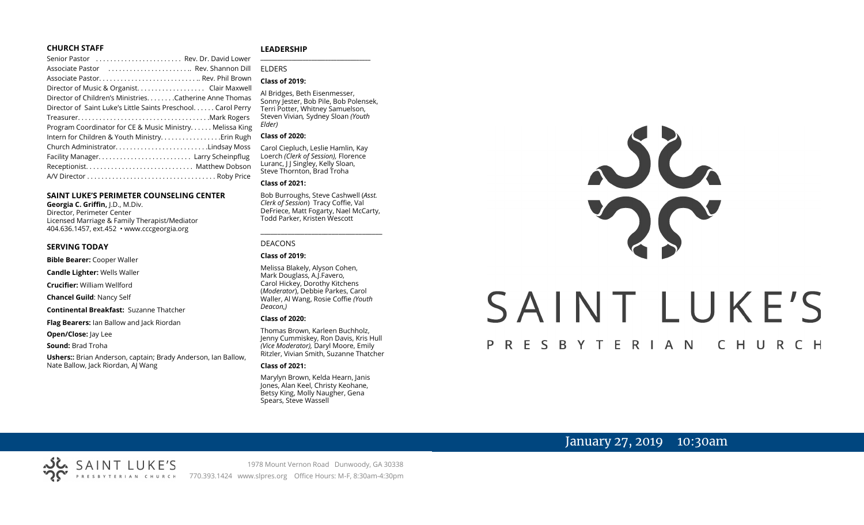#### **CHURCH STAFF**

#### **SAINT LUKE'S PERIMETER COUNSELING CENTER**

**Georgia C. Griffin,** J.D., M.Div. Director, Perimeter Center Licensed Marriage & Family Therapist/Mediator 404.636.1457, ext.452 • www.cccgeorgia.org

#### **SERVING TODAY**

**Bible Bearer:** Cooper Waller

**Candle Lighter:** Wells Waller

**Crucifier:** William Wellford

**Chancel Guild**: Nancy Self

**Continental Breakfast:** Suzanne Thatcher

**Flag Bearers:** Ian Ballow and Jack Riordan

**Open/Close:** Jay Lee

**Sound:** Brad Troha

**Ushers::** Brian Anderson, captain; Brady Anderson, Ian Ballow, Nate Ballow, Jack Riordan, AJ Wang

#### **LEADERSHIP**

ELDERS

#### **Class of 2019:**

Al Bridges, Beth Eisenmesser, Sonny Jester, Bob Pile, Bob Polensek, Terri Potter, Whitney Samuelson, Steven Vivian*,* Sydney Sloan *(Youth Elder)*

**\_\_\_\_\_\_\_\_\_\_\_\_\_\_\_\_\_\_\_\_\_\_\_\_\_\_\_\_\_\_\_\_\_\_\_\_\_\_\_**

#### **Class of 2020:**

Carol Ciepluch, Leslie Hamlin, Kay Loerch *(Clerk of Session),* Florence Luranc, I J Singley, Kelly Sloan, Steve Thornton, Brad Troha

#### **Class of 2021:**

Bob Burroughs, Steve Cashwell (*Asst. Clerk of Session*) Tracy Coffie, Val DeFriece, Matt Fogarty, Nael McCarty, Todd Parker, Kristen Wescott

\_\_\_\_\_\_\_\_\_\_\_\_\_\_\_\_\_\_\_\_\_\_\_\_\_\_\_\_\_\_\_\_\_\_\_\_

#### DEACONS

#### **Class of 2019:**

Melissa Blakely, Alyson Cohen, Mark Douglass, A.J.Favero, Carol Hickey, Dorothy Kitchens (*Moderator*), Debbie Parkes, Carol Waller, Al Wang, Rosie Coffie *(Youth Deacon,)* 

#### **Class of 2020:**

Thomas Brown, Karleen Buchholz, Jenny Cummiskey, Ron Davis, Kris Hull *(Vice Moderator),* Daryl Moore, Emily Ritzler, Vivian Smith, Suzanne Thatcher

#### **Class of 2021:**

Marylyn Brown, Kelda Hearn, Janis Jones, Alan Keel, Christy Keohane, Betsy King, Molly Naugher, Gena Spears, Steve Wassell



# SAINT LUKE'S

# PRESBYTERIAN CHURCH

# January 27, 2019 10:30am

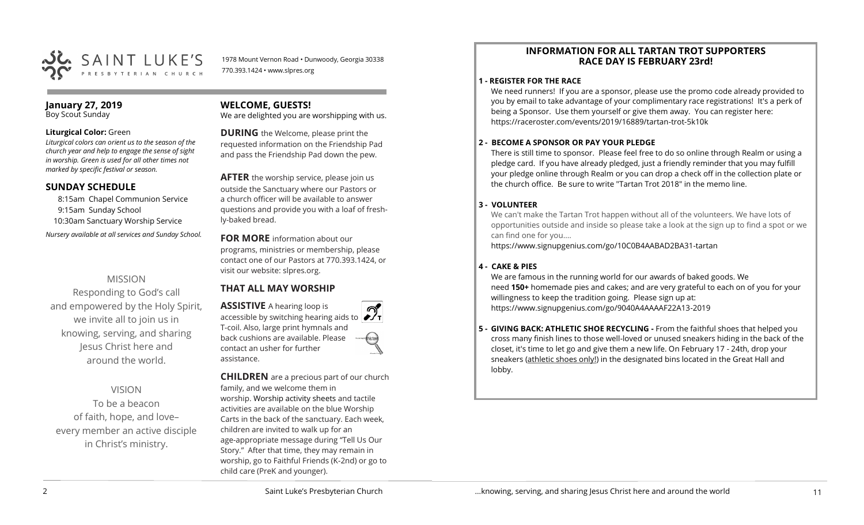

1978 Mount Vernon Road • Dunwoody, Georgia 30338 770.393.1424 • www.slpres.org

#### **January 27, 2019** Boy Scout Sunday

#### **Liturgical Color:** Green

*Liturgical colors can orient us to the season of the church year and help to engage the sense of sight in worship. Green is used for all other times not marked by specific festival or season.*

#### **SUNDAY SCHEDULE**

8:15am Chapel Communion Service 9:15am Sunday School 10:30am Sanctuary Worship Service *Nursery available at all services and Sunday School.* 

# MISSION

Responding to God's call and empowered by the Holy Spirit, we invite all to join us in knowing, serving, and sharing Jesus Christ here and around the world.

# VISION

To be a beacon of faith, hope, and love– every member an active disciple in Christ's ministry.

#### **WELCOME, GUESTS!**

We are delighted you are worshipping with us.

**DURING** the Welcome, please print the requested information on the Friendship Pad and pass the Friendship Pad down the pew.

**AFTER** the worship service, please join us outside the Sanctuary where our Pastors or a church officer will be available to answer questions and provide you with a loaf of freshly-baked bread.

**FOR MORE** information about our programs, ministries or membership, please contact one of our Pastors at 770.393.1424, or visit our website: slpres.org.

# **THAT ALL MAY WORSHIP**

**ASSISTIVE** A hearing loop is accessible by switching hearing aids to T-coil. Also, large print hymnals and back cushions are available. Please contact an usher for further assistance.

**CHILDREN** are a precious part of our church family, and we welcome them in worship. Worship activity sheets and tactile activities are available on the blue Worship Carts in the back of the sanctuary. Each week, children are invited to walk up for an age-appropriate message during "Tell Us Our Story." After that time, they may remain in worship, go to Faithful Friends (K-2nd) or go to child care (PreK and younger).

#### **INFORMATION FOR ALL TARTAN TROT SUPPORTERS RACE DAY IS FEBRUARY 23rd!**

#### **1 - REGISTER FOR THE RACE**

We need runners! If you are a sponsor, please use the promo code already provided to you by email to take advantage of your complimentary race registrations! It's a perk of being a Sponsor. Use them yourself or give them away. You can register here: [https://raceroster.com/events/2019/16889/tartan](https://raceroster.com/events/2019/16889/tartan-trot-5k10k)-trot-5k10k

#### **2 - BECOME A SPONSOR OR PAY YOUR PLEDGE**

There is still time to sponsor. Please feel free to do so online through Realm or using a pledge card. If you have already pledged, just a friendly reminder that you may fulfill your pledge online through Realm or you can drop a check off in the collection plate or the church office. Be sure to write "Tartan Trot 2018" in the memo line.

#### **3 - VOLUNTEER**

We can't make the Tartan Trot happen without all of the volunteers. We have lots of opportunities outside and inside so please take a look at the sign up to find a spot or we can find one for you....

[https://www.signupgenius.com/go/10C0B4AABAD2BA31](https://www.signupgenius.com/go/10C0B4AABAD2BA31-tartan)-tartan

#### **4 - CAKE & PIES**

We are famous in the running world for our awards of baked goods. We need **150+** homemade pies and cakes; and are very grateful to each on of you for your willingness to keep the tradition going. Please sign up at: [https://www.signupgenius.com/go/9040A4AAAAF22A13](https://www.signupgenius.com/go/9040A4AAAAF22A13-2019)-2019

**5 - GIVING BACK: ATHLETIC SHOE RECYCLING -** From the faithful shoes that helped you cross many finish lines to those well-loved or unused sneakers hiding in the back of the closet, it's time to let go and give them a new life. On February 17 - 24th, drop your sneakers (athletic shoes only!) in the designated bins located in the Great Hall and lobby.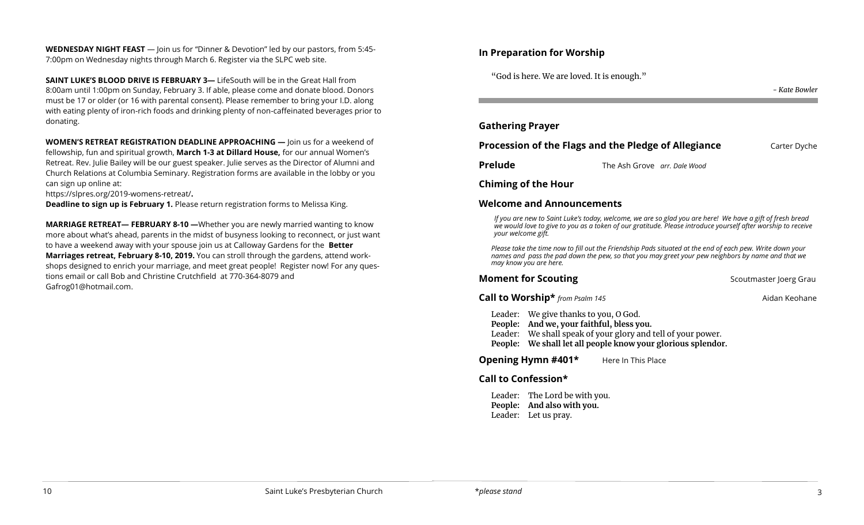**WEDNESDAY NIGHT FEAST** — Join us for "Dinner & Devotion" led by our pastors, from 5:45- 7:00pm on Wednesday nights through March 6. Register via the SLPC web site.

**SAINT LUKE'S BLOOD DRIVE IS FEBRUARY 3—** LifeSouth will be in the Great Hall from 8:00am until 1:00pm on Sunday, February 3. If able, please come and donate blood. Donors must be 17 or older (or 16 with parental consent). Please remember to bring your I.D. along with eating plenty of iron-rich foods and drinking plenty of non-caffeinated beverages prior to donating.

**WOMEN'S RETREAT REGISTRATION DEADLINE APPROACHING —** Join us for a weekend of fellowship, fun and spiritual growth, **March 1-3 at Dillard House,** for our annual Women's Retreat. Rev. Julie Bailey will be our guest speaker. Julie serves as the Director of Alumni and Church Relations at Columbia Seminary. Registration forms are available in the lobby or you can sign up online at:

[https://slpres.org/2019](https://slpres.org/2019-womens-retreat/)-womens-retreat/**.** 

**Deadline to sign up is February 1.** Please return registration forms to Melissa King.

**MARRIAGE RETREAT— FEBRUARY 8-10 —**Whether you are newly married wanting to know more about what's ahead, parents in the midst of busyness looking to reconnect, or just want to have a weekend away with your spouse join us at Calloway Gardens for the **Better Marriages retreat, February 8-10, 2019.** You can stroll through the gardens, attend workshops designed to enrich your marriage, and meet great people! Register now! For any questions email or call Bob and Christine Crutchfield at 770-364-8079 and [Gafrog01@hotmail.com.](mailto:Gafrog01@hotmail.com)

#### **In Preparation for Worship**

"God is here. We are loved. It is enough."

| <b>Gathering Prayer</b>                              |                              |              |
|------------------------------------------------------|------------------------------|--------------|
| Procession of the Flags and the Pledge of Allegiance |                              | Carter Dyche |
| <b>Prelude</b>                                       | The Ash Grove arr. Dale Wood |              |
| <b>Chiming of the Hour</b>                           |                              |              |

#### **Welcome and Announcements**

*If you are new to Saint Luke's today, welcome, we are so glad you are here! We have a gift of fresh bread we would love to give to you as a token of our gratitude. Please introduce yourself after worship to receive your welcome gift.*

*Please take the time now to fill out the Friendship Pads situated at the end of each pew. Write down your names and pass the pad down the pew, so that you may greet your pew neighbors by name and that we may know you are here.*

# **Moment for Scouting** Scoutmaster Joerg Grau

**Call to Worship\*** *from Psalm 145* **Aidan Keohane** Aidan Keohane

*- Kate Bowler*

- Leader: We give thanks to you, O God.
- **People: And we, your faithful, bless you.**
- Leader: We shall speak of your glory and tell of your power.
- **People: We shall let all people know your glorious splendor.**

**Opening Hymn #401\*** Here In This Place

# **Call to Confession\***

Leader: The Lord be with you. **People: And also with you.**  Leader: Let us pray.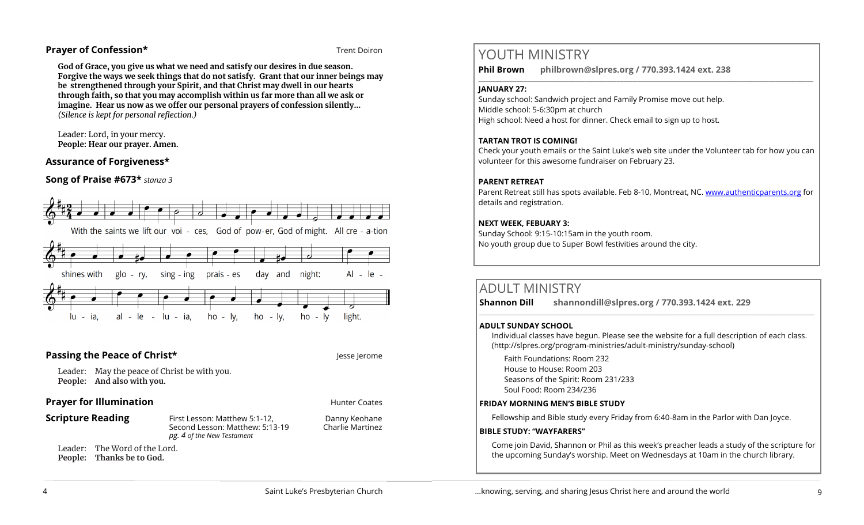#### **Prayer of Confession\*** Trent Doiron

**God of Grace, you give us what we need and satisfy our desires in due season. Forgive the ways we seek things that do not satisfy. Grant that our inner beings may be strengthened through your Spirit, and that Christ may dwell in our hearts through faith, so that you may accomplish within us far more than all we ask or imagine. Hear us now as we offer our personal prayers of confession silently…** *(Silence is kept for personal reflection.)*

Leader: Lord, in your mercy. **People: Hear our prayer. Amen.**

# **Assurance of Forgiveness\***

**Song of Praise #673\*** *stanza 3*



# **Passing the Peace of Christ\* Jesse Jerome** Jesse Jerome

Leader: May the peace of Christ be with you. **People: And also with you.** 

#### **Prayer for Illumination Hunter Coates Hunter Coates**

**Scripture Reading** First Lesson: Matthew 5:1-12, Danny Keohane Second Lesson: Matthew: 5:13-19 Charlie Martinez *pg. 4 of the New Testament*

Leader: The Word of the Lord. **People: Thanks be to God.** 

# YOUTH MINISTRY

**Phil Brown philbrown@slpres.org / 770.393.1424 ext. 238**   $\_$  ,  $\_$  ,  $\_$  ,  $\_$  ,  $\_$  ,  $\_$  ,  $\_$  ,  $\_$  ,  $\_$  ,  $\_$  ,  $\_$  ,  $\_$  ,  $\_$  ,  $\_$  ,  $\_$  ,  $\_$  ,  $\_$  ,  $\_$  ,  $\_$  ,  $\_$ 

#### **JANUARY 27:**

Sunday school: Sandwich project and Family Promise move out help. Middle school: 5-6:30pm at church High school: Need a host for dinner. Check email to sign up to host.

# **TARTAN TROT IS COMING!**

Check your youth emails or the Saint Luke's web site under the Volunteer tab for how you can volunteer for this awesome fundraiser on February 23.

#### **PARENT RETREAT**

Parent Retreat still has spots available. Feb 8-10, Montreat, NC. [www.authenticparents.org](http://www.authenticparents.org) for details and registration.

#### **NEXT WEEK, FEBUARY 3:**

Sunday School: 9:15-10:15am in the youth room. No youth group due to Super Bowl festivities around the city.

# ADULT MINISTRY

**Shannon Dill shannondill@slpres.org / 770.393.1424 ext. 229**   $\_$  ,  $\_$  ,  $\_$  ,  $\_$  ,  $\_$  ,  $\_$  ,  $\_$  ,  $\_$  ,  $\_$  ,  $\_$  ,  $\_$  ,  $\_$  ,  $\_$  ,  $\_$  ,  $\_$  ,  $\_$  ,  $\_$  ,  $\_$  ,  $\_$ 

#### **ADULT SUNDAY SCHOOL**

Individual classes have begun. Please see the website for a full description of each class. (http://slpres.org/program-ministries/adult-ministry/sunday-school)

Faith Foundations: Room 232 House to House: Room 203 Seasons of the Spirit: Room 231/233 Soul Food: Room 234/236

#### **FRIDAY MORNING MEN'S BIBLE STUDY**

Fellowship and Bible study every Friday from 6:40-8am in the Parlor with Dan Joyce.

#### **BIBLE STUDY: "WAYFARERS"**

Come join David, Shannon or Phil as this week's preacher leads a study of the scripture for the upcoming Sunday's worship. Meet on Wednesdays at 10am in the church library.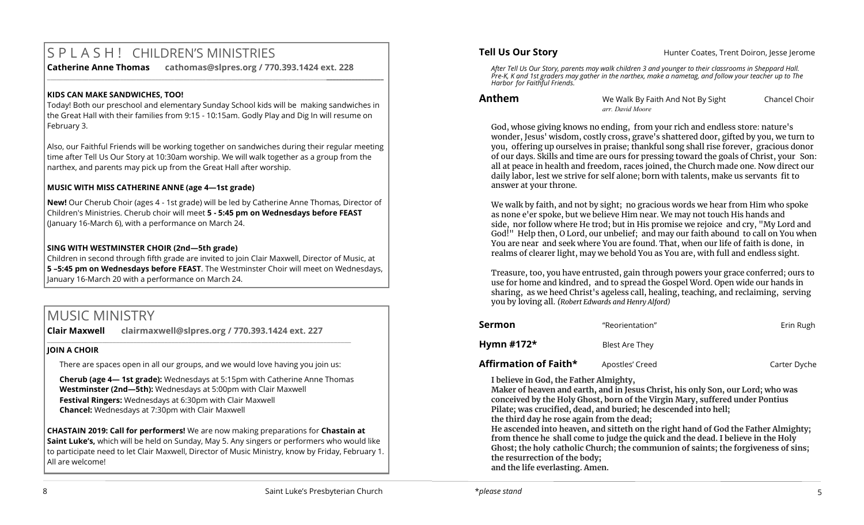# S P L A S H ! CHILDREN'S MINISTRIES

**Catherine Anne Thomas cathomas@slpres.org / 770.393.1424 ext. 228 \_\_\_\_\_\_\_\_\_\_\_\_\_\_\_\_\_\_\_\_\_\_\_\_\_\_\_\_\_\_\_\_\_\_\_\_\_\_\_\_\_\_\_\_\_\_\_\_\_\_\_\_\_\_\_\_\_\_\_\_\_\_\_\_\_\_\_\_\_\_\_\_\_\_\_\_\_\_\_\_\_\_\_\_\_\_\_\_\_\_\_\_\_\_\_\_\_\_\_\_\_\_\_\_\_\_** 

#### **KIDS CAN MAKE SANDWICHES, TOO!**

Today! Both our preschool and elementary Sunday School kids will be making sandwiches in the Great Hall with their families from 9:15 - 10:15am. Godly Play and Dig In will resume on February 3.

Also, our Faithful Friends will be working together on sandwiches during their regular meeting time after Tell Us Our Story at 10:30am worship. We will walk together as a group from the narthex, and parents may pick up from the Great Hall after worship.

# **MUSIC WITH MISS CATHERINE ANNE (age 4—1st grade)**

**New!** Our Cherub Choir (ages 4 - 1st grade) will be led by Catherine Anne Thomas, Director of Children's Ministries. Cherub choir will meet **5 - 5:45 pm on Wednesdays before FEAST**  (January 16-March 6), with a performance on March 24.

# **SING WITH WESTMINSTER CHOIR (2nd—5th grade)**

Children in second through fifth grade are invited to join Clair Maxwell, Director of Music, at **5 –5:45 pm on Wednesdays before FEAST**. The Westminster Choir will meet on Wednesdays, January 16-March 20 with a performance on March 24.

# MUSIC MINISTRY

**Clair Maxwell clairmaxwell@slpres.org / 770.393.1424 ext. 227** 

# **JOIN A CHOIR**

There are spaces open in all our groups, and we would love having you join us:

\_\_\_\_\_\_\_\_\_\_\_\_\_\_\_\_\_\_\_\_\_\_\_\_\_\_\_\_\_\_\_\_\_\_\_\_\_\_\_\_\_\_\_\_\_\_\_\_\_\_\_\_\_\_\_\_\_\_\_\_\_\_\_\_\_\_\_\_\_\_\_\_\_\_\_\_\_\_\_\_\_\_\_\_\_\_\_\_

**Cherub (age 4— 1st grade):** Wednesdays at 5:15pm with Catherine Anne Thomas **Westminster (2nd—5th):** Wednesdays at 5:00pm with Clair Maxwell **Festival Ringers:** Wednesdays at 6:30pm with Clair Maxwell **Chancel:** Wednesdays at 7:30pm with Clair Maxwell

**CHASTAIN 2019: Call for performers!** We are now making preparations for **Chastain at Saint Luke's,** which will be held on Sunday, May 5. Any singers or performers who would like to participate need to let Clair Maxwell, Director of Music Ministry, know by Friday, February 1. All are welcome!

**Tell Us Our Story Hunter Coates, Trent Doiron, Jesse Jerome** 

*After Tell Us Our Story, parents may walk children 3 and younger to their classrooms in Sheppard Hall. Pre-K, K and 1st graders may gather in the narthex, make a nametag, and follow your teacher up to The Harbor for Faithful Friends.*

**Anthem We Walk By Faith And Not By Sight** Chancel Choir *arr. David Moore*

God, whose giving knows no ending, from your rich and endless store: nature's wonder, Jesus' wisdom, costly cross, grave's shattered door, gifted by you, we turn to you, offering up ourselves in praise; thankful song shall rise forever, gracious donor of our days. Skills and time are ours for pressing toward the goals of Christ, your Son: all at peace in health and freedom, races joined, the Church made one. Now direct our daily labor, lest we strive for self alone; born with talents, make us servants fit to answer at your throne.

We walk by faith, and not by sight; no gracious words we hear from Him who spoke as none e'er spoke, but we believe Him near. We may not touch His hands and side, nor follow where He trod; but in His promise we rejoice and cry, "My Lord and God!" Help then, O Lord, our unbelief; and may our faith abound to call on You when You are near and seek where You are found. That, when our life of faith is done, in realms of clearer light, may we behold You as You are, with full and endless sight.

Treasure, too, you have entrusted, gain through powers your grace conferred; ours to use for home and kindred, and to spread the Gospel Word. Open wide our hands in sharing, as we heed Christ's ageless call, healing, teaching, and reclaiming, serving you by loving all. *(Robert Edwards and Henry Alford)*

| <b>Sermon</b>                | "Reorientation" | Erin Rugh    |
|------------------------------|-----------------|--------------|
| Hymn #172 $\star$            | Blest Are They  |              |
| <b>Affirmation of Faith*</b> | Apostles' Creed | Carter Dyche |

**I believe in God, the Father Almighty,**

**Maker of heaven and earth, and in Jesus Christ, his only Son, our Lord; who was conceived by the Holy Ghost, born of the Virgin Mary, suffered under Pontius Pilate; was crucified, dead, and buried; he descended into hell;** 

**the third day he rose again from the dead;**

**He ascended into heaven, and sitteth on the right hand of God the Father Almighty; from thence he shall come to judge the quick and the dead. I believe in the Holy Ghost; the holy catholic Church; the communion of saints; the forgiveness of sins; the resurrection of the body; and the life everlasting. Amen.**